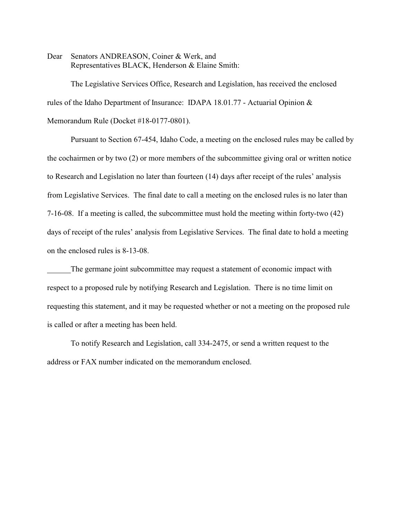Dear Senators ANDREASON, Coiner & Werk, and Representatives BLACK, Henderson & Elaine Smith:

The Legislative Services Office, Research and Legislation, has received the enclosed rules of the Idaho Department of Insurance: IDAPA 18.01.77 - Actuarial Opinion & Memorandum Rule (Docket #18-0177-0801).

Pursuant to Section 67-454, Idaho Code, a meeting on the enclosed rules may be called by the cochairmen or by two (2) or more members of the subcommittee giving oral or written notice to Research and Legislation no later than fourteen (14) days after receipt of the rules' analysis from Legislative Services. The final date to call a meeting on the enclosed rules is no later than 7-16-08. If a meeting is called, the subcommittee must hold the meeting within forty-two (42) days of receipt of the rules' analysis from Legislative Services. The final date to hold a meeting on the enclosed rules is 8-13-08.

The germane joint subcommittee may request a statement of economic impact with respect to a proposed rule by notifying Research and Legislation. There is no time limit on requesting this statement, and it may be requested whether or not a meeting on the proposed rule is called or after a meeting has been held.

To notify Research and Legislation, call 334-2475, or send a written request to the address or FAX number indicated on the memorandum enclosed.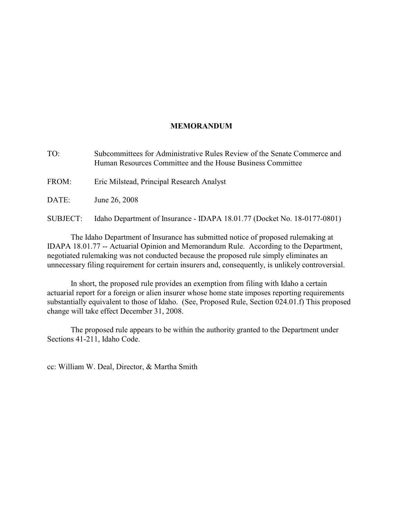# **MEMORANDUM**

TO: Subcommittees for Administrative Rules Review of the Senate Commerce and Human Resources Committee and the House Business Committee

FROM: Eric Milstead, Principal Research Analyst

DATE: June 26, 2008

SUBJECT: Idaho Department of Insurance - IDAPA 18.01.77 (Docket No. 18-0177-0801)

The Idaho Department of Insurance has submitted notice of proposed rulemaking at IDAPA 18.01.77 -- Actuarial Opinion and Memorandum Rule. According to the Department, negotiated rulemaking was not conducted because the proposed rule simply eliminates an unnecessary filing requirement for certain insurers and, consequently, is unlikely controversial.

In short, the proposed rule provides an exemption from filing with Idaho a certain actuarial report for a foreign or alien insurer whose home state imposes reporting requirements substantially equivalent to those of Idaho. (See, Proposed Rule, Section 024.01.f) This proposed change will take effect December 31, 2008.

The proposed rule appears to be within the authority granted to the Department under Sections 41-211, Idaho Code.

cc: William W. Deal, Director, & Martha Smith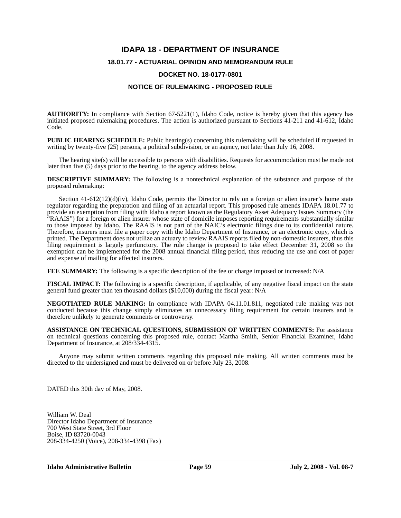# **IDAPA 18 - DEPARTMENT OF INSURANCE**

# **18.01.77 - ACTUARIAL OPINION AND MEMORANDUM RULE**

## **DOCKET NO. 18-0177-0801**

## **NOTICE OF RULEMAKING - PROPOSED RULE**

**AUTHORITY:** In compliance with Section 67-5221(1), Idaho Code, notice is hereby given that this agency has initiated proposed rulemaking procedures. The action is authorized pursuant to Sections 41-211 and 41-612, Idaho Code.

**PUBLIC HEARING SCHEDULE:** Public hearing(s) concerning this rulemaking will be scheduled if requested in writing by twenty-five (25) persons, a political subdivision, or an agency, not later than July 16, 2008.

The hearing site(s) will be accessible to persons with disabilities. Requests for accommodation must be made not later than five (5) days prior to the hearing, to the agency address below.

**DESCRIPTIVE SUMMARY:** The following is a nontechnical explanation of the substance and purpose of the proposed rulemaking:

Section 41-612(12)(d)(iv), Idaho Code, permits the Director to rely on a foreign or alien insurer's home state regulator regarding the preparation and filing of an actuarial report. This proposed rule amends IDAPA 18.01.77 to provide an exemption from filing with Idaho a report known as the Regulatory Asset Adequacy Issues Summary (the "RAAIS") for a foreign or alien insurer whose state of domicile imposes reporting requirements substantially similar to those imposed by Idaho. The RAAIS is not part of the NAIC's electronic filings due to its confidential nature. Therefore, insurers must file a paper copy with the Idaho Department of Insurance, or an electronic copy, which is printed. The Department does not utilize an actuary to review RAAIS reports filed by non-domestic insurers, thus this filing requirement is largely perfunctory. The rule change is proposed to take effect December 31, 2008 so the exemption can be implemented for the 2008 annual financial filing period, thus reducing the use and cost of paper and expense of mailing for affected insurers.

**FEE SUMMARY:** The following is a specific description of the fee or charge imposed or increased: N/A

**FISCAL IMPACT:** The following is a specific description, if applicable, of any negative fiscal impact on the state general fund greater than ten thousand dollars (\$10,000) during the fiscal year: N/A

**NEGOTIATED RULE MAKING:** In compliance with IDAPA 04.11.01.811, negotiated rule making was not conducted because this change simply eliminates an unnecessary filing requirement for certain insurers and is therefore unlikely to generate comments or controversy.

**ASSISTANCE ON TECHNICAL QUESTIONS, SUBMISSION OF WRITTEN COMMENTS:** For assistance on technical questions concerning this proposed rule, contact Martha Smith, Senior Financial Examiner, Idaho Department of Insurance, at 208/334-4315.

Anyone may submit written comments regarding this proposed rule making. All written comments must be directed to the undersigned and must be delivered on or before July 23, 2008.

DATED this 30th day of May, 2008.

William W. Deal Director Idaho Department of Insurance 700 West State Street, 3rd Floor Boise, ID 83720-0043 208-334-4250 (Voice), 208-334-4398 (Fax)

**Idaho Administrative Bulletin Page 59 July 2, 2008 - Vol. 08-7**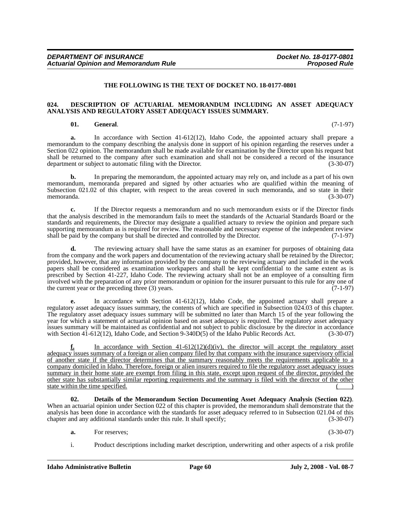#### **THE FOLLOWING IS THE TEXT OF DOCKET NO. 18-0177-0801**

#### **024. DESCRIPTION OF ACTUARIAL MEMORANDUM INCLUDING AN ASSET ADEQUACY ANALYSIS AND REGULATORY ASSET ADEQUACY ISSUES SUMMARY.**

#### **01. General**. (7-1-97)

**a.** In accordance with Section 41-612(12), Idaho Code, the appointed actuary shall prepare a memorandum to the company describing the analysis done in support of his opinion regarding the reserves under a Section 022 opinion. The memorandum shall be made available for examination by the Director upon his request but shall be returned to the company after such examination and shall not be considered a record of the insurance department or subject to automatic filing with the Director. (3-30-07)

**b.** In preparing the memorandum, the appointed actuary may rely on, and include as a part of his own memorandum, memoranda prepared and signed by other actuaries who are qualified within the meaning of Subsection 021.02 of this chapter, with respect to the areas covered in such memoranda, and so state in their memoranda. (3-30-07)

**c.** If the Director requests a memorandum and no such memorandum exists or if the Director finds that the analysis described in the memorandum fails to meet the standards of the Actuarial Standards Board or the standards and requirements, the Director may designate a qualified actuary to review the opinion and prepare such supporting memorandum as is required for review. The reasonable and necessary expense of the independent review shall be paid by the company but shall be directed and controlled by the Director. (7-1-97)

**d.** The reviewing actuary shall have the same status as an examiner for purposes of obtaining data from the company and the work papers and documentation of the reviewing actuary shall be retained by the Director; provided, however, that any information provided by the company to the reviewing actuary and included in the work papers shall be considered as examination workpapers and shall be kept confidential to the same extent as is prescribed by Section 41-227, Idaho Code. The reviewing actuary shall not be an employee of a consulting firm involved with the preparation of any prior memorandum or opinion for the insurer pursuant to this rule for any one of the current year or the preceding three (3) years. (7-1-97)

**e.** In accordance with Section 41-612(12), Idaho Code, the appointed actuary shall prepare a regulatory asset adequacy issues summary, the contents of which are specified in Subsection 024.03 of this chapter. The regulatory asset adequacy issues summary will be submitted no later than March 15 of the year following the year for which a statement of actuarial opinion based on asset adequacy is required. The regulatory asset adequacy issues summary will be maintained as confidential and not subject to public disclosure by the director in accordance with Section  $4\overline{1}$ -612(12), Idaho Code, and Section 9-340D(5) of the Idaho Public Records Act.

In accordance with Section  $41-612(12)(d)(iv)$ , the director will accept the regulatory asset adequacy issues summary of a foreign or alien company filed by that company with the insurance supervisory official of another state if the director determines that the summary reasonably meets the requirements applicable to a company domiciled in Idaho. Therefore, foreign or alien insurers required to file the regulatory asset adequacy issues summary in their home state are exempt from filing in this state, except upon request of the director, provided the other state has substantially similar reporting requirements and the summary is filed with the director of the other state within the time specified.

**02. Details of the Memorandum Section Documenting Asset Adequacy Analysis (Section 022)**. When an actuarial opinion under Section 022 of this chapter is provided, the memorandum shall demonstrate that the analysis has been done in accordance with the standards for asset adequacy referred to in Subsection 021.04 of this chapter and any additional standards under this rule. It shall specify; (3-30-07)

- **a.** For reserves; (3-30-07)
- i. Product descriptions including market description, underwriting and other aspects of a risk profile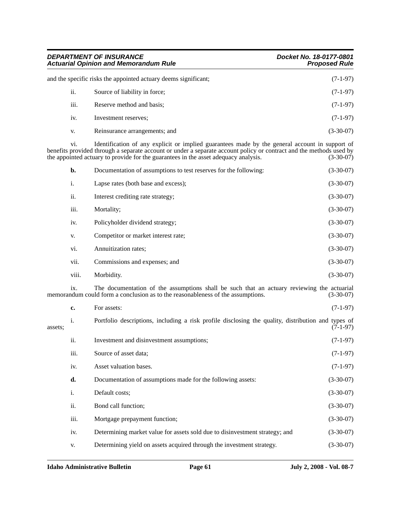| <b>DEPARTMENT OF INSURANCE</b><br><b>Actuarial Opinion and Memorandum Rule</b><br>and the specific risks the appointed actuary deems significant; |                               | Docket No. 18-0177-0801<br><b>Proposed Rule</b> |  |
|---------------------------------------------------------------------------------------------------------------------------------------------------|-------------------------------|-------------------------------------------------|--|
|                                                                                                                                                   |                               | $(7-1-97)$                                      |  |
| ii.                                                                                                                                               | Source of liability in force; | $(7-1-97)$                                      |  |
| iii.                                                                                                                                              | Reserve method and basis;     | $(7-1-97)$                                      |  |
| iv.                                                                                                                                               | Investment reserves;          | $(7-1-97)$                                      |  |
| V.                                                                                                                                                | Reinsurance arrangements; and | $(3-30-07)$                                     |  |

vi. Identification of any explicit or implied guarantees made by the general account in support of benefits provided through a separate account or under a separate account policy or contract and the methods used by the appointed actuary to provide for the guarantees in the asset adequacy analysis. (3-30-07) the appointed actuary to provide for the guarantees in the asset adequacy analysis.

| $\mathbf{b}$ . | Documentation of assumptions to test reserves for the following: | $(3-30-07)$ |
|----------------|------------------------------------------------------------------|-------------|
| i.             | Lapse rates (both base and excess);                              | $(3-30-07)$ |
| ii.            | Interest crediting rate strategy;                                | $(3-30-07)$ |
| iii.           | Mortality;                                                       | $(3-30-07)$ |
| iv.            | Policyholder dividend strategy;                                  | $(3-30-07)$ |
| V.             | Competitor or market interest rate;                              | $(3-30-07)$ |
| vi.            | Annuitization rates;                                             | $(3-30-07)$ |
| vii.           | Commissions and expenses; and                                    | $(3-30-07)$ |
| viii.          | Morbidity.                                                       | $(3-30-07)$ |

ix. The documentation of the assumptions shall be such that an actuary reviewing the actuarial memorandum could form a conclusion as to the reasonableness of the assumptions. (3-30-07)

|         | c.   | For assets:                                                                                        | $(7-1-97)$  |
|---------|------|----------------------------------------------------------------------------------------------------|-------------|
| assets: | i.   | Portfolio descriptions, including a risk profile disclosing the quality, distribution and types of | $(7-1-97)$  |
|         | ii.  | Investment and disinvestment assumptions;                                                          | $(7-1-97)$  |
|         | iii. | Source of asset data;                                                                              | $(7-1-97)$  |
|         | iv.  | Asset valuation bases.                                                                             | $(7-1-97)$  |
|         | d.   | Documentation of assumptions made for the following assets:                                        | $(3-30-07)$ |
|         | i.   | Default costs;                                                                                     | $(3-30-07)$ |
|         | ii.  | Bond call function;                                                                                | $(3-30-07)$ |
|         | iii. | Mortgage prepayment function;                                                                      | $(3-30-07)$ |
|         | iv.  | Determining market value for assets sold due to disinvestment strategy; and                        | $(3-30-07)$ |
|         | V.   | Determining yield on assets acquired through the investment strategy.                              | $(3-30-07)$ |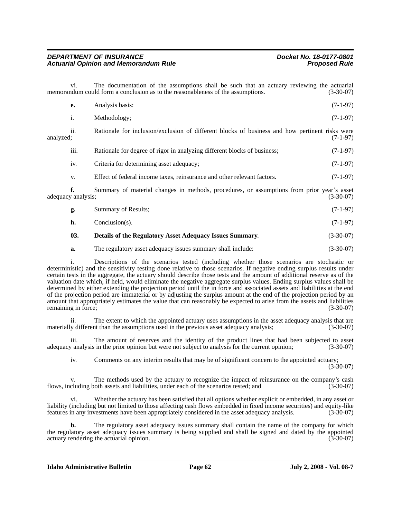vi. The documentation of the assumptions shall be such that an actuary reviewing the actuarial memorandum could form a conclusion as to the reasonableness of the assumptions. (3-30-07)

|           | е.               | Analysis basis:                                                                                | $(7-1-97)$ |
|-----------|------------------|------------------------------------------------------------------------------------------------|------------|
|           | <sup>1</sup>     | Methodology:                                                                                   | $(7-1-97)$ |
| analvzed: | ii.              | Rationale for inclusion/exclusion of different blocks of business and how pertinent risks were | $(7-1-97)$ |
|           | $\cdots$<br>111. | Rationale for degree of rigor in analyzing different blocks of business;                       | $(7-1-97)$ |

iv. Criteria for determining asset adequacy; (7-1-97) v. Effect of federal income taxes, reinsurance and other relevant factors. (7-1-97)

**f.** Summary of material changes in methods, procedures, or assumptions from prior year's asset adequacy analysis; (3-30-07)

| Summary of Results; | $(7-1-97)$ |
|---------------------|------------|
|---------------------|------------|

**h.** Conclusion(s). (7-1-97)

# **03. Details of the Regulatory Asset Adequacy Issues Summary**. (3-30-07)

## **a.** The regulatory asset adequacy issues summary shall include:  $(3-30-07)$

i. Descriptions of the scenarios tested (including whether those scenarios are stochastic or deterministic) and the sensitivity testing done relative to those scenarios. If negative ending surplus results under certain tests in the aggregate, the actuary should describe those tests and the amount of additional reserve as of the valuation date which, if held, would eliminate the negative aggregate surplus values. Ending surplus values shall be determined by either extending the projection period until the in force and associated assets and liabilities at the end of the projection period are immaterial or by adjusting the surplus amount at the end of the projection period by an amount that appropriately estimates the value that can reasonably be expected to arise from the assets and liabilities remaining in force; (3-30-07)

ii. The extent to which the appointed actuary uses assumptions in the asset adequacy analysis that are materially different than the assumptions used in the previous asset adequacy analysis; (3-30-07)

iii. The amount of reserves and the identity of the product lines that had been subjected to asset adequacy analysis in the prior opinion but were not subject to analysis for the current opinion; (3-30-07)

iv. Comments on any interim results that may be of significant concern to the appointed actuary; (3-30-07)

v. The methods used by the actuary to recognize the impact of reinsurance on the company's cash flows, including both assets and liabilities, under each of the scenarios tested; and (3-30-07)

vi. Whether the actuary has been satisfied that all options whether explicit or embedded, in any asset or liability (including but not limited to those affecting cash flows embedded in fixed income securities) and equity-like features in any investments have been appropriately considered in the asset adequacy analysis. (3-30-07)

**b.** The regulatory asset adequacy issues summary shall contain the name of the company for which the regulatory asset adequacy issues summary is being supplied and shall be signed and dated by the appointed actuary rendering the actuarial opinion. (3-30-07) actuary rendering the actuarial opinion.